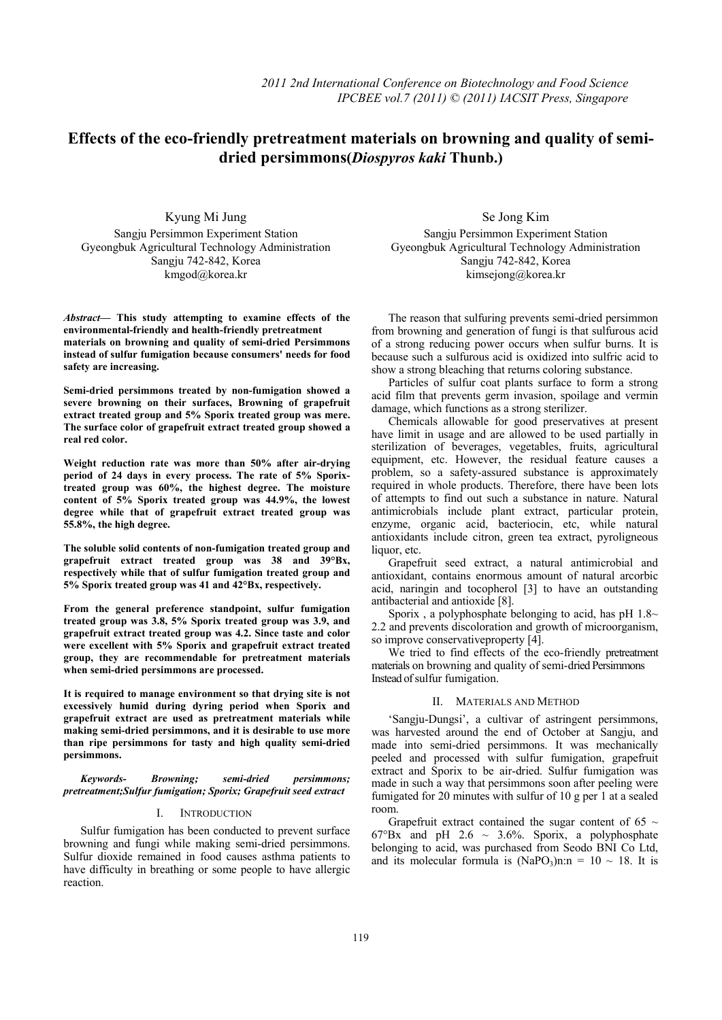# **Effects of the eco-friendly pretreatment materials on browning and quality of semi** **dried persimmons(***Diospyros kaki* **Thunb.)**

Kyung Mi Jung Sangju Persimmon Experiment Station Gyeongbuk Agricultural Technology Administration Sangju 742-842, Korea kmgod@korea.kr

*Abstract***— This study attempting to examine effects of the environmental-friendly and health-friendly pretreatment materials on browning and quality of semi-dried Persimmons instead of sulfur fumigation because consumers' needs for food safety are increasing.** 

**Semi-dried persimmons treated by non-fumigation showed a severe browning on their surfaces, Browning of grapefruit extract treated group and 5% Sporix treated group was mere. The surface color of grapefruit extract treated group showed a real red color.** 

**Weight reduction rate was more than 50% after air-drying period of 24 days in every process. The rate of 5% Sporixtreated group was 60%, the highest degree. The moisture content of 5% Sporix treated group was 44.9%, the lowest degree while that of grapefruit extract treated group was 55.8%, the high degree.** 

**The soluble solid contents of non-fumigation treated group and grapefruit extract treated group was 38 and 39°Bx, respectively while that of sulfur fumigation treated group and 5% Sporix treated group was 41 and 42°Bx, respectively.** 

**From the general preference standpoint, sulfur fumigation treated group was 3.8, 5% Sporix treated group was 3.9, and grapefruit extract treated group was 4.2. Since taste and color were excellent with 5% Sporix and grapefruit extract treated group, they are recommendable for pretreatment materials when semi-dried persimmons are processed.** 

**It is required to manage environment so that drying site is not excessively humid during dyring period when Sporix and grapefruit extract are used as pretreatment materials while making semi-dried persimmons, and it is desirable to use more than ripe persimmons for tasty and high quality semi-dried persimmons.** 

*Keywords- Browning; semi-dried persimmons; pretreatment;Sulfur fumigation; Sporix; Grapefruit seed extract* 

## I. INTRODUCTION

Sulfur fumigation has been conducted to prevent surface browning and fungi while making semi-dried persimmons. Sulfur dioxide remained in food causes asthma patients to have difficulty in breathing or some people to have allergic reaction.

Se Jong Kim Sangju Persimmon Experiment Station Gyeongbuk Agricultural Technology Administration Sangju 742-842, Korea kimsejong@korea.kr

The reason that sulfuring prevents semi-dried persimmon from browning and generation of fungi is that sulfurous acid of a strong reducing power occurs when sulfur burns. It is because such a sulfurous acid is oxidized into sulfric acid to show a strong bleaching that returns coloring substance.

Particles of sulfur coat plants surface to form a strong acid film that prevents germ invasion, spoilage and vermin damage, which functions as a strong sterilizer.

Chemicals allowable for good preservatives at present have limit in usage and are allowed to be used partially in sterilization of beverages, vegetables, fruits, agricultural equipment, etc. However, the residual feature causes a problem, so a safety-assured substance is approximately required in whole products. Therefore, there have been lots of attempts to find out such a substance in nature. Natural antimicrobials include plant extract, particular protein, enzyme, organic acid, bacteriocin, etc, while natural antioxidants include citron, green tea extract, pyroligneous liquor, etc.

Grapefruit seed extract, a natural antimicrobial and antioxidant, contains enormous amount of natural arcorbic acid, naringin and tocopherol [3] to have an outstanding antibacterial and antioxide [8].

Sporix, a polyphosphate belonging to acid, has pH  $1.8~\sim$ 2.2 and prevents discoloration and growth of microorganism, so improve conservative property [4].

We tried to find effects of the eco-friendly pretreatment materials on browning and quality of semi-dried Persimmons Instead of sulfur fumigation.

# II. MATERIALS AND METHOD

'Sangju-Dungsi', a cultivar of astringent persimmons, was harvested around the end of October at Sangju, and made into semi-dried persimmons. It was mechanically peeled and processed with sulfur fumigation, grapefruit extract and Sporix to be air-dried. Sulfur fumigation was made in such a way that persimmons soon after peeling were fumigated for 20 minutes with sulfur of 10 g per 1 at a sealed room.

Grapefruit extract contained the sugar content of 65  $\sim$ 67°Bx and pH 2.6  $\sim$  3.6%. Sporix, a polyphosphate belonging to acid, was purchased from Seodo BNI Co Ltd, and its molecular formula is  $(NaPO_3)n:n = 10 \sim 18$ . It is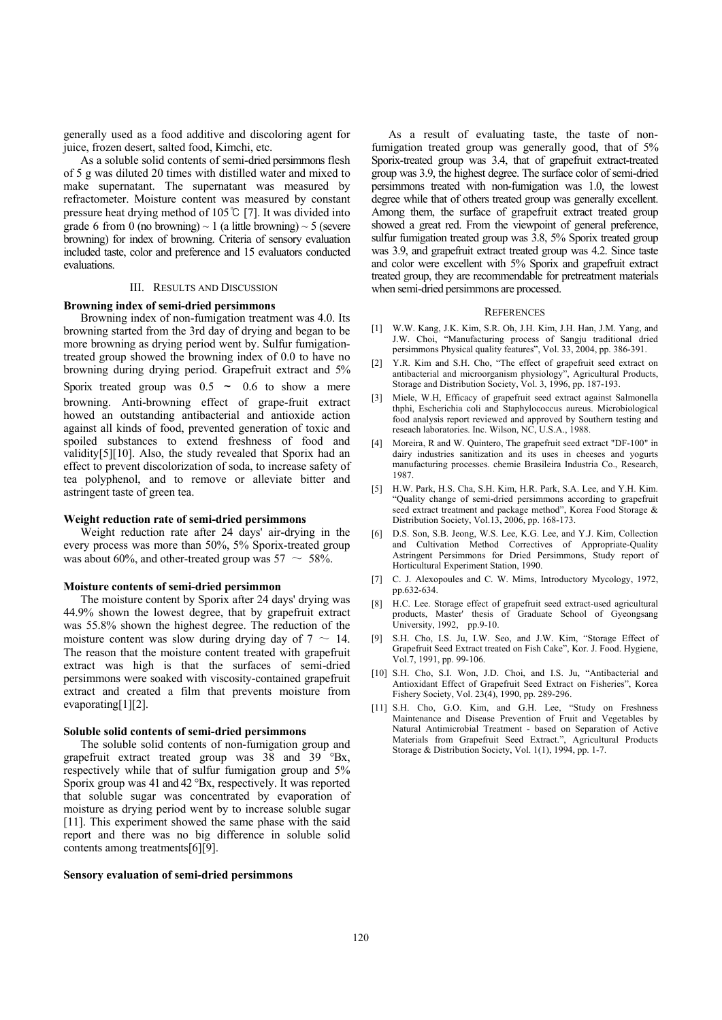generally used as a food additive and discoloring agent for juice, frozen desert, salted food, Kimchi, etc.

As a soluble solid contents of semi-dried persimmons flesh of 5 g was diluted 20 times with distilled water and mixed to make supernatant. The supernatant was measured by refractometer. Moisture content was measured by constant pressure heat drying method of 105℃ [7]. It was divided into grade 6 from 0 (no browning)  $\sim$  1 (a little browning)  $\sim$  5 (severe browning) for index of browning. Criteria of sensory evaluation included taste, color and preference and 15 evaluators conducted evaluations.

# III. RESULTS AND DISCUSSION

## **Browning index of semi-dried persimmons**

Browning index of non-fumigation treatment was 4.0. Its browning started from the 3rd day of drying and began to be more browning as drying period went by. Sulfur fumigationtreated group showed the browning index of 0.0 to have no browning during drying period. Grapefruit extract and 5% Sporix treated group was  $0.5 \sim 0.6$  to show a mere browning. Anti-browning effect of grape-fruit extract howed an outstanding antibacterial and antioxide action against all kinds of food, prevented generation of toxic and spoiled substances to extend freshness of food and validity[5][10]. Also, the study revealed that Sporix had an effect to prevent discolorization of soda, to increase safety of tea polyphenol, and to remove or alleviate bitter and astringent taste of green tea.

#### **Weight reduction rate of semi-dried persimmons**

Weight reduction rate after 24 days' air-drying in the every process was more than 50%, 5% Sporix-treated group was about 60%, and other-treated group was  $57 \sim 58\%$ .

#### **Moisture contents of semi-dried persimmon**

The moisture content by Sporix after 24 days' drying was 44.9% shown the lowest degree, that by grapefruit extract was 55.8% shown the highest degree. The reduction of the moisture content was slow during drying day of  $7 \sim 14$ . The reason that the moisture content treated with grapefruit extract was high is that the surfaces of semi-dried persimmons were soaked with viscosity-contained grapefruit extract and created a film that prevents moisture from evaporating[1][2].

## **Soluble solid contents of semi-dried persimmons**

The soluble solid contents of non-fumigation group and grapefruit extract treated group was 38 and 39 °Bx, respectively while that of sulfur fumigation group and 5% Sporix group was 41 and 42 °Bx, respectively. It was reported that soluble sugar was concentrated by evaporation of moisture as drying period went by to increase soluble sugar [11]. This experiment showed the same phase with the said report and there was no big difference in soluble solid contents among treatments[6][9].

#### **Sensory evaluation of semi-dried persimmons**

As a result of evaluating taste, the taste of nonfumigation treated group was generally good, that of 5% Sporix-treated group was 3.4, that of grapefruit extract-treated group was 3.9, the highest degree. The surface color of semi-dried persimmons treated with non-fumigation was 1.0, the lowest degree while that of others treated group was generally excellent. Among them, the surface of grapefruit extract treated group showed a great red. From the viewpoint of general preference, sulfur fumigation treated group was 3.8, 5% Sporix treated group was 3.9, and grapefruit extract treated group was 4.2. Since taste and color were excellent with 5% Sporix and grapefruit extract treated group, they are recommendable for pretreatment materials when semi-dried persimmons are processed.

#### **REFERENCES**

- [1] W.W. Kang, J.K. Kim, S.R. Oh, J.H. Kim, J.H. Han, J.M. Yang, and J.W. Choi, "Manufacturing process of Sangju traditional dried persimmons Physical quality features", Vol. 33, 2004, pp. 386-391.
- [2] Y.R. Kim and S.H. Cho, "The effect of grapefruit seed extract on antibacterial and microorganism physiology", Agricultural Products, Storage and Distribution Society, Vol. 3, 1996, pp. 187-193.
- [3] Miele, W.H, Efficacy of grapefruit seed extract against Salmonella thphi, Escherichia coli and Staphylococcus aureus. Microbiological food analysis report reviewed and approved by Southern testing and reseach laboratories. Inc. Wilson, NC, U.S.A., 1988.
- [4] Moreira, R and W. Quintero, The grapefruit seed extract "DF-100" in dairy industries sanitization and its uses in cheeses and yogurts manufacturing processes. chemie Brasileira Industria Co., Research, 1987.
- [5] H.W. Park, H.S. Cha, S.H. Kim, H.R. Park, S.A. Lee, and Y.H. Kim. "Quality change of semi-dried persimmons according to grapefruit seed extract treatment and package method", Korea Food Storage & Distribution Society, Vol.13, 2006, pp. 168-173.
- [6] D.S. Son, S.B. Jeong, W.S. Lee, K.G. Lee, and Y.J. Kim, Collection and Cultivation Method Correctives of Appropriate-Quality Astringent Persimmons for Dried Persimmons, Study report of Horticultural Experiment Station, 1990.
- [7] C. J. Alexopoules and C. W. Mims, Introductory Mycology, 1972, pp.632-634.
- [8] H.C. Lee. Storage effect of grapefruit seed extract-used agricultural products, Master' thesis of Graduate School of Gyeongsang University, 1992, pp.9-10.
- [9] S.H. Cho, I.S. Ju, I.W. Seo, and J.W. Kim, "Storage Effect of Grapefruit Seed Extract treated on Fish Cake", Kor. J. Food. Hygiene, Vol.7, 1991, pp. 99-106.
- [10] S.H. Cho, S.I. Won, J.D. Choi, and I.S. Ju, "Antibacterial and Antioxidant Effect of Grapefruit Seed Extract on Fisheries", Korea Fishery Society, Vol. 23(4), 1990, pp. 289-296.
- [11] S.H. Cho, G.O. Kim, and G.H. Lee, "Study on Freshness Maintenance and Disease Prevention of Fruit and Vegetables by Natural Antimicrobial Treatment - based on Separation of Active Materials from Grapefruit Seed Extract.", Agricultural Products Storage & Distribution Society, Vol. 1(1), 1994, pp. 1-7.